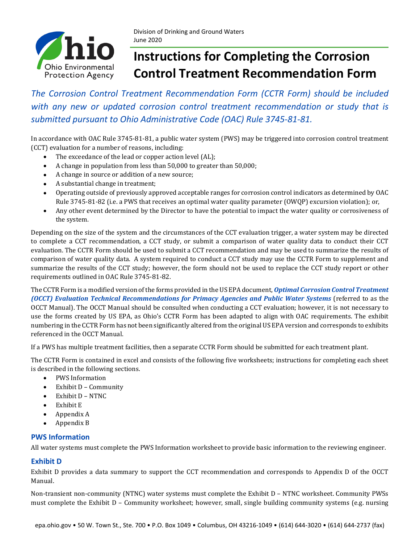

# **Instructions for Completing the Corrosion Control Treatment Recommendation Form**

*The Corrosion Control Treatment Recommendation Form (CCTR Form) should be included with any new or updated corrosion control treatment recommendation or study that is submitted pursuant to Ohio Administrative Code (OAC) Rule 3745-81-81.* 

In accordance with OAC Rule 3745-81-81, a public water system (PWS) may be triggered into corrosion control treatment (CCT) evaluation for a number of reasons, including:

- The exceedance of the lead or copper action level (AL);
- A change in population from less than 50,000 to greater than 50,000;
- A change in source or addition of a new source;
- A substantial change in treatment;
- Operating outside of previously approved acceptable ranges for corrosion control indicators as determined by OAC Rule 3745-81-82 (i.e. a PWS that receives an optimal water quality parameter (OWQP) excursion violation); or,
- Any other event determined by the Director to have the potential to impact the water quality or corrosiveness of the system.

Depending on the size of the system and the circumstances of the CCT evaluation trigger, a water system may be directed to complete a CCT recommendation, a CCT study, or submit a comparison of water quality data to conduct their CCT evaluation. The CCTR Form should be used to submit a CCT recommendation and may be used to summarize the results of comparison of water quality data. A system required to conduct a CCT study may use the CCTR Form to supplement and summarize the results of the CCT study; however, the form should not be used to replace the CCT study report or other requirements outlined in OAC Rule 3745-81-82.

The CCTR Form is a modified version of the forms provided in the US EPA document, *[Optimal Corrosion Control Treatment](https://www.epa.gov/dwreginfo/optimal-corrosion-control-treatment-evaluation-technical-recommendations)  [\(OCCT\) Evaluation Technical Recommendations for Primacy Agencies and Public Water Systems](https://www.epa.gov/dwreginfo/optimal-corrosion-control-treatment-evaluation-technical-recommendations)* (referred to as the OCCT Manual). The OCCT Manual should be consulted when conducting a CCT evaluation; however, it is not necessary to use the forms created by US EPA, as Ohio's CCTR Form has been adapted to align with OAC requirements. The exhibit numbering in the CCTR Form has not been significantly altered from the original US EPA version and corresponds to exhibits referenced in the OCCT Manual.

If a PWS has multiple treatment facilities, then a separate CCTR Form should be submitted for each treatment plant.

The CCTR Form is contained in excel and consists of the following five worksheets; instructions for completing each sheet is described in the following sections.

- PWS Information
- Exhibit D Community
- Exhibit D NTNC
- Exhibit E
- Appendix A
- Appendix B

# **PWS Information**

All water systems must complete the PWS Information worksheet to provide basic information to the reviewing engineer.

# **Exhibit D**

Exhibit D provides a data summary to support the CCT recommendation and corresponds to Appendix D of the OCCT Manual.

Non-transient non-community (NTNC) water systems must complete the Exhibit D – NTNC worksheet. Community PWSs must complete the Exhibit D – Community worksheet; however, small, single building community systems (e.g. nursing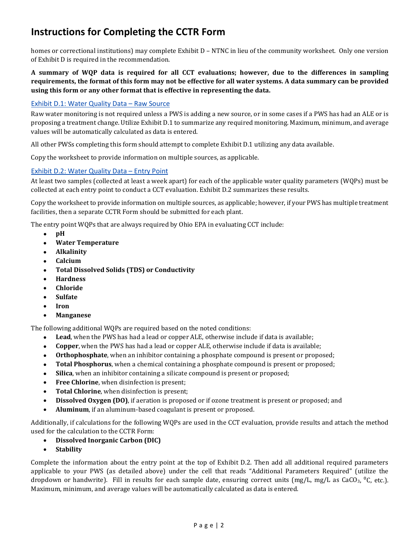homes or correctional institutions) may complete Exhibit D – NTNC in lieu of the community worksheet. Only one version of Exhibit D is required in the recommendation.

### **A summary of WQP data is required for all CCT evaluations; however, due to the differences in sampling requirements, the format of this form may not be effective for all water systems. A data summary can be provided using this form or any other format that is effective in representing the data.**

#### Exhibit D.1: Water Quality Data – Raw Source

Raw water monitoring is not required unless a PWS is adding a new source, or in some cases if a PWS has had an ALE or is proposing a treatment change. Utilize Exhibit D.1 to summarize any required monitoring. Maximum, minimum, and average values will be automatically calculated as data is entered.

All other PWSs completing this form should attempt to complete Exhibit D.1 utilizing any data available.

Copy the worksheet to provide information on multiple sources, as applicable.

#### Exhibit D.2: Water Quality Data – Entry Point

At least two samples (collected at least a week apart) for each of the applicable water quality parameters (WQPs) must be collected at each entry point to conduct a CCT evaluation. Exhibit D.2 summarizes these results.

Copy the worksheet to provide information on multiple sources, as applicable; however, if your PWS has multiple treatment facilities, then a separate CCTR Form should be submitted for each plant.

The entry point WQPs that are always required by Ohio EPA in evaluating CCT include:

- **pH**
- **Water Temperature**
- **Alkalinity**
- **Calcium**
- **Total Dissolved Solids (TDS) or Conductivity**
- **Hardness**
- **Chloride**
- **Sulfate**
- **Iron**
- **Manganese**

The following additional WQPs are required based on the noted conditions:

- **Lead**, when the PWS has had a lead or copper ALE, otherwise include if data is available;
- **Copper**, when the PWS has had a lead or copper ALE, otherwise include if data is available;
- **Orthophosphate**, when an inhibitor containing a phosphate compound is present or proposed;
- **Total Phosphorus**, when a chemical containing a phosphate compound is present or proposed;
- **Silica**, when an inhibitor containing a silicate compound is present or proposed;
- **Free Chlorine**, when disinfection is present;
- **Total Chlorine**, when disinfection is present;
- **Dissolved Oxygen (DO)**, if aeration is proposed or if ozone treatment is present or proposed; and
- **Aluminum**, if an aluminum-based coagulant is present or proposed.

Additionally, if calculations for the following WQPs are used in the CCT evaluation, provide results and attach the method used for the calculation to the CCTR Form:

- **Dissolved Inorganic Carbon (DIC)**
- **Stability**

Complete the information about the entry point at the top of Exhibit D.2. Then add all additional required parameters applicable to your PWS (as detailed above) under the cell that reads "Additional Parameters Required" (utilize the dropdown or handwrite). Fill in results for each sample date, ensuring correct units  $(mg/L, mg/L$  as CaCO<sub>3</sub>, <sup>o</sup>C, etc.). Maximum, minimum, and average values will be automatically calculated as data is entered.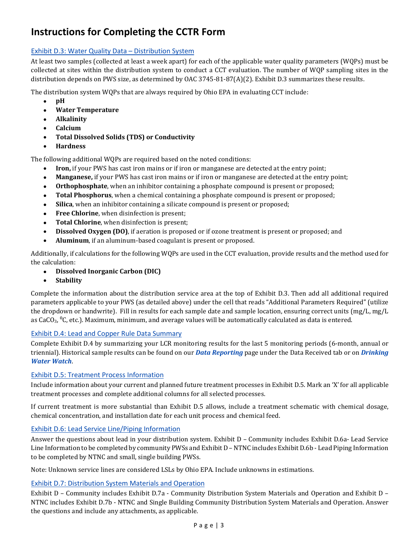# Exhibit D.3: Water Quality Data – Distribution System

At least two samples (collected at least a week apart) for each of the applicable water quality parameters (WQPs) must be collected at sites within the distribution system to conduct a CCT evaluation. The number of WQP sampling sites in the distribution depends on PWS size, as determined by OAC 3745-81-87(A)(2). Exhibit D.3 summarizes these results.

The distribution system WQPs that are always required by Ohio EPA in evaluating CCT include:

- **pH**
- **Water Temperature**
- **Alkalinity**
- **Calcium**
- **Total Dissolved Solids (TDS) or Conductivity**
- **Hardness**

The following additional WQPs are required based on the noted conditions:

- **Iron,** if your PWS has cast iron mains or if iron or manganese are detected at the entry point;
- **Manganese,** if your PWS has cast iron mains or if iron or manganese are detected at the entry point;
- **Orthophosphate**, when an inhibitor containing a phosphate compound is present or proposed;
- **Total Phosphorus**, when a chemical containing a phosphate compound is present or proposed;
- **Silica**, when an inhibitor containing a silicate compound is present or proposed;
- **Free Chlorine**, when disinfection is present;
- **Total Chlorine**, when disinfection is present;
- **Dissolved Oxygen (DO)**, if aeration is proposed or if ozone treatment is present or proposed; and
- **Aluminum**, if an aluminum-based coagulant is present or proposed.

Additionally, if calculations for the following WQPs are used in the CCT evaluation, provide results and the method used for the calculation:

- **Dissolved Inorganic Carbon (DIC)**
- **Stability**

Complete the information about the distribution service area at the top of Exhibit D.3. Then add all additional required parameters applicable to your PWS (as detailed above) under the cell that reads "Additional Parameters Required" (utilize the dropdown or handwrite). Fill in results for each sample date and sample location, ensuring correct units (mg/L, mg/L as CaCO<sub>3</sub>, <sup>0</sup>C, etc.). Maximum, minimum, and average values will be automatically calculated as data is entered.

# Exhibit D.4: Lead and Copper Rule Data Summary

Complete Exhibit D.4 by summarizing your LCR monitoring results for the last 5 monitoring periods (6-month, annual or triennial). Historical sample results can be found on our *[Data Reporting](https://epa.ohio.gov/ddagw/reporting)* page under the Data Received tab or on *[Drinking](http://dww.epa.ohio.gov/)  [Water Watch](http://dww.epa.ohio.gov/)*.

# Exhibit D.5: Treatment Process Information

Include information about your current and planned future treatment processes in Exhibit D.5. Mark an 'X' for all applicable treatment processes and complete additional columns for all selected processes.

If current treatment is more substantial than Exhibit D.5 allows, include a treatment schematic with chemical dosage, chemical concentration, and installation date for each unit process and chemical feed.

# Exhibit D.6: Lead Service Line/Piping Information

Answer the questions about lead in your distribution system. Exhibit D – Community includes Exhibit D.6a- Lead Service Line Information to be completed by community PWSs and Exhibit D – NTNC includes Exhibit D.6b - Lead Piping Information to be completed by NTNC and small, single building PWSs.

Note: Unknown service lines are considered LSLs by Ohio EPA. Include unknowns in estimations.

# Exhibit D.7: Distribution System Materials and Operation

Exhibit D – Community includes Exhibit D.7a - Community Distribution System Materials and Operation and Exhibit D – NTNC includes Exhibit D.7b - NTNC and Single Building Community Distribution System Materials and Operation. Answer the questions and include any attachments, as applicable.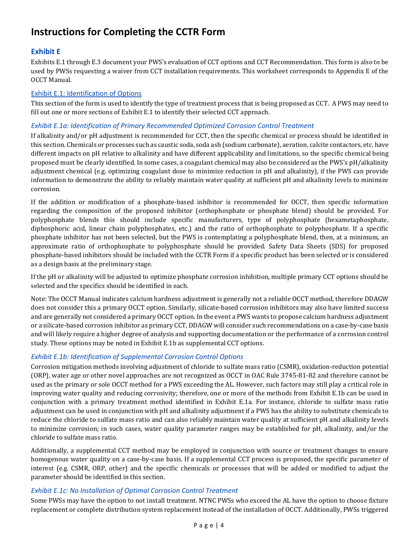# **Exhibit E**

Exhibits E.1 through E.3 document your PWS's evaluation of CCT options and CCT Recommendation. This form is also to be used by PWSs requesting a waiver from CCT installation requirements. This worksheet corresponds to Appendix E of the OCCT Manual.

#### Exhibit E.1: Identification of Options

This section of the form is used to identify the type of treatment process that is being proposed as CCT. A PWS may need to fill out one or more sections of Exhibit E.1 to identify their selected CCT approach.

#### *Exhibit E.1a: Identification of Primary Recommended Optimized Corrosion Control Treatment*

If alkalinity and/or pH adjustment is recommended for CCT, then the specific chemical or process should be identified in this section. Chemicals or processes such as caustic soda, soda ash (sodium carbonate), aeration, calcite contactors, etc. have different impacts on pH relative to alkalinity and have different applicability and limitations, so the specific chemical being proposed must be clearly identified. In some cases, a coagulant chemical may also be considered as the PWS's pH/alkalinity adjustment chemical (e.g. optimizing coagulant dose to minimize reduction in pH and alkalinity), if the PWS can provide information to demonstrate the ability to reliably maintain water quality at sufficient pH and alkalinity levels to minimize corrosion.

If the addition or modification of a phosphate-based inhibitor is recommended for OCCT, then specific information regarding the composition of the proposed inhibitor (orthophosphate or phosphate blend) should be provided. For polyphosphate blends this should include specific manufacturers, type of polyphosphate (hexametaphosphate, diphosphoric acid, linear chain polyphosphates, etc.) and the ratio of orthophosphate to polyphosphate. If a specific phosphate inhibitor has not been selected, but the PWS is contemplating a polyphosphate blend, then, at a minimum, an approximate ratio of orthophosphate to polyphosphate should be provided. Safety Data Sheets (SDS) for proposed phosphate-based inhibitors should be included with the CCTR Form if a specific product has been selected or is considered as a design basis at the preliminary stage.

If the pH or alkalinity will be adjusted to optimize phosphate corrosion inhibition, multiple primary CCT options should be selected and the specifics should be identified in each.

Note: The OCCT Manual indicates calcium hardness adjustment is generally not a reliable OCCT method, therefore DDAGW does not consider this a primary OCCT option. Similarly, silicate-based corrosion inhibitors may also have limited success and are generally not considered a primary OCCT option. In the event a PWS wants to propose calcium hardness adjustment or a silicate-based corrosion inhibitor as primary CCT, DDAGW will consider such recommendations on a case-by-case basis and will likely require a higher degree of analysis and supporting documentation or the performance of a corrosion control study. These options may be noted in Exhibit E.1b as supplemental CCT options.

# *Exhibit E.1b: Identification of Supplemental Corrosion Control Options*

Corrosion mitigation methods involving adjustment of chloride to sulfate mass ratio (CSMR), oxidation-reduction potential (ORP), water age or other novel approaches are not recognized as OCCT in OAC Rule 3745-81-82 and therefore cannot be used as the primary or sole OCCT method for a PWS exceeding the AL. However, such factors may still play a critical role in improving water quality and reducing corrosivity; therefore, one or more of the methods from Exhibit E.1b can be used in conjunction with a primary treatment method identified in Exhibit E.1a. For instance, chloride to sulfate mass ratio adjustment can be used in conjunction with pH and alkalinity adjustment if a PWS has the ability to substitute chemicals to reduce the chloride to sulfate mass ratio and can also reliably maintain water quality at sufficient pH and alkalinity levels to minimize corrosion; in such cases, water quality parameter ranges may be established for pH, alkalinity, and/or the chloride to sulfate mass ratio.

Additionally, a supplemental CCT method may be employed in conjunction with source or treatment changes to ensure homogenous water quality on a case-by-case basis. If a supplemental CCT process is proposed, the specific parameter of interest (e.g. CSMR, ORP, other) and the specific chemicals or processes that will be added or modified to adjust the parameter should be identified in this section.

#### *Exhibit E.1c: No Installation of Optimal Corrosion Control Treatment*

Some PWSs may have the option to not install treatment. NTNC PWSs who exceed the AL have the option to choose fixture replacement or complete distribution system replacement instead of the installation of OCCT. Additionally, PWSs triggered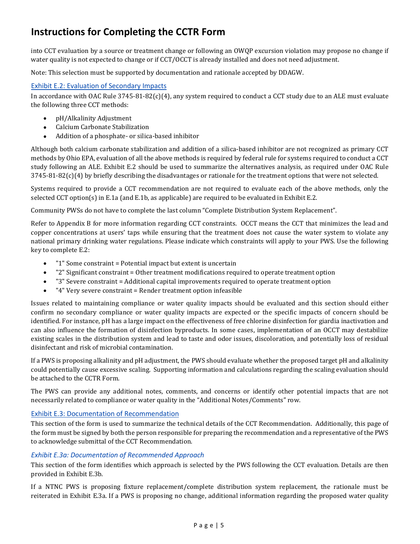into CCT evaluation by a source or treatment change or following an OWQP excursion violation may propose no change if water quality is not expected to change or if CCT/OCCT is already installed and does not need adjustment.

Note: This selection must be supported by documentation and rationale accepted by DDAGW.

#### Exhibit E.2: Evaluation of Secondary Impacts

In accordance with OAC Rule  $3745-81-82(c)(4)$ , any system required to conduct a CCT study due to an ALE must evaluate the following three CCT methods:

- pH/Alkalinity Adjustment
- Calcium Carbonate Stabilization
- Addition of a phosphate- or silica-based inhibitor

Although both calcium carbonate stabilization and addition of a silica-based inhibitor are not recognized as primary CCT methods by Ohio EPA, evaluation of all the above methods is required by federal rule for systems required to conduct a CCT study following an ALE. Exhibit E.2 should be used to summarize the alternatives analysis, as required under OAC Rule  $3745-81-82(c)(4)$  by briefly describing the disadvantages or rationale for the treatment options that were not selected.

Systems required to provide a CCT recommendation are not required to evaluate each of the above methods, only the selected CCT option(s) in E.1a (and E.1b, as applicable) are required to be evaluated in Exhibit E.2.

Community PWSs do not have to complete the last column "Complete Distribution System Replacement".

Refer to Appendix B for more information regarding CCT constraints. OCCT means the CCT that minimizes the lead and copper concentrations at users' taps while ensuring that the treatment does not cause the water system to violate any national primary drinking water regulations. Please indicate which constraints will apply to your PWS. Use the following key to complete E.2:

- "1" Some constraint = Potential impact but extent is uncertain
- "2" Significant constraint = Other treatment modifications required to operate treatment option
- "3" Severe constraint = Additional capital improvements required to operate treatment option
- "4" Very severe constraint = Render treatment option infeasible

Issues related to maintaining compliance or water quality impacts should be evaluated and this section should either confirm no secondary compliance or water quality impacts are expected or the specific impacts of concern should be identified. For instance, pH has a large impact on the effectiveness of free chlorine disinfection for giardia inactivation and can also influence the formation of disinfection byproducts. In some cases, implementation of an OCCT may destabilize existing scales in the distribution system and lead to taste and odor issues, discoloration, and potentially loss of residual disinfectant and risk of microbial contamination.

If a PWS is proposing alkalinity and pH adjustment, the PWS should evaluate whether the proposed target pH and alkalinity could potentially cause excessive scaling. Supporting information and calculations regarding the scaling evaluation should be attached to the CCTR Form.

The PWS can provide any additional notes, comments, and concerns or identify other potential impacts that are not necessarily related to compliance or water quality in the "Additional Notes/Comments" row.

#### Exhibit E.3: Documentation of Recommendation

This section of the form is used to summarize the technical details of the CCT Recommendation. Additionally, this page of the form must be signed by both the person responsible for preparing the recommendation and a representative of the PWS to acknowledge submittal of the CCT Recommendation.

#### *Exhibit E.3a: Documentation of Recommended Approach*

This section of the form identifies which approach is selected by the PWS following the CCT evaluation. Details are then provided in Exhibit E.3b.

If a NTNC PWS is proposing fixture replacement/complete distribution system replacement, the rationale must be reiterated in Exhibit E.3a. If a PWS is proposing no change, additional information regarding the proposed water quality